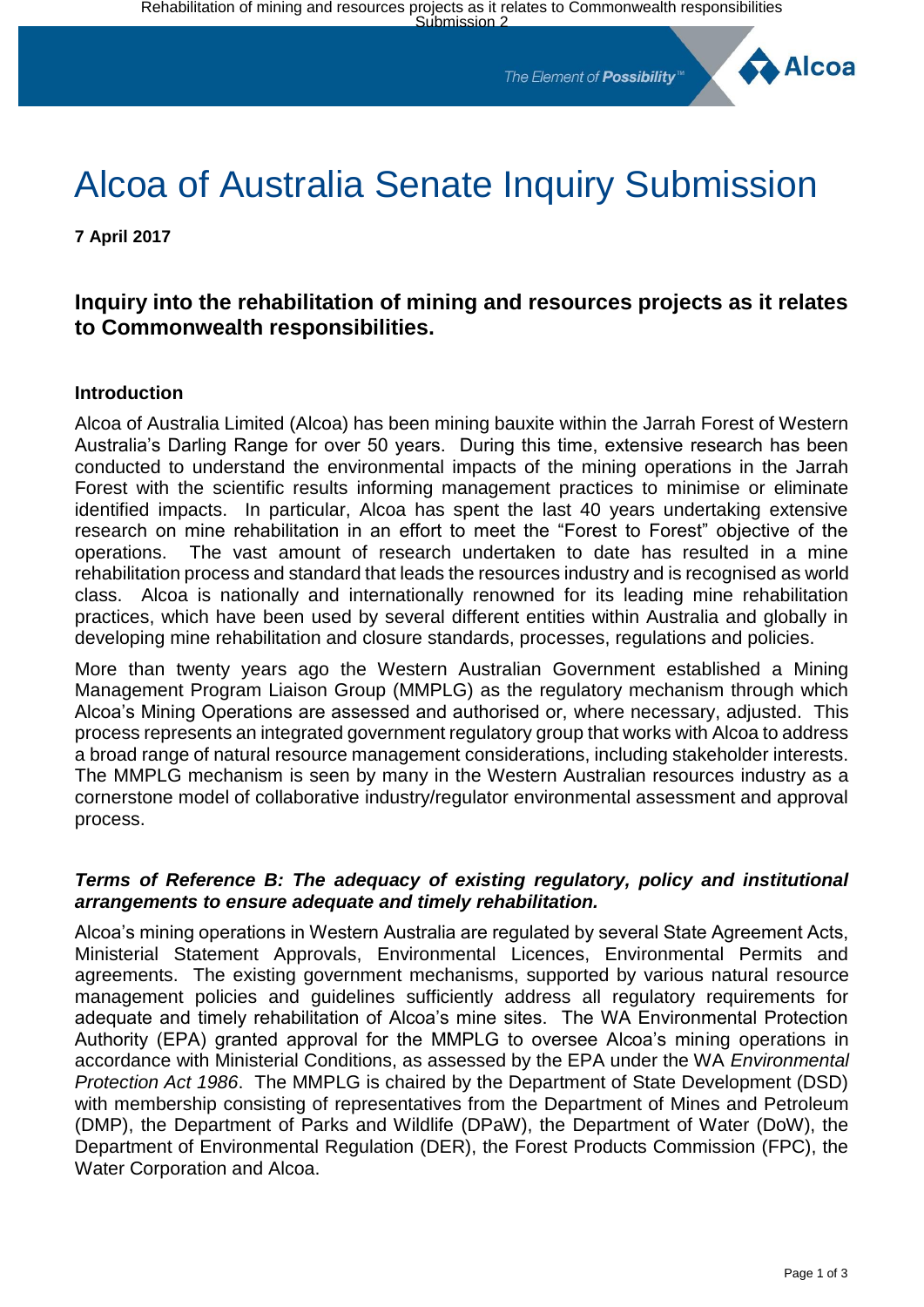The Element of **Possibility**<sup>®</sup>



# Alcoa of Australia Senate Inquiry Submission

**7 April 2017**

## **Inquiry into the rehabilitation of mining and resources projects as it relates to Commonwealth responsibilities.**

#### **Introduction**

Alcoa of Australia Limited (Alcoa) has been mining bauxite within the Jarrah Forest of Western Australia's Darling Range for over 50 years. During this time, extensive research has been conducted to understand the environmental impacts of the mining operations in the Jarrah Forest with the scientific results informing management practices to minimise or eliminate identified impacts. In particular, Alcoa has spent the last 40 years undertaking extensive research on mine rehabilitation in an effort to meet the "Forest to Forest" objective of the operations. The vast amount of research undertaken to date has resulted in a mine rehabilitation process and standard that leads the resources industry and is recognised as world class. Alcoa is nationally and internationally renowned for its leading mine rehabilitation practices, which have been used by several different entities within Australia and globally in developing mine rehabilitation and closure standards, processes, regulations and policies.

More than twenty years ago the Western Australian Government established a Mining Management Program Liaison Group (MMPLG) as the regulatory mechanism through which Alcoa's Mining Operations are assessed and authorised or, where necessary, adjusted. This process represents an integrated government regulatory group that works with Alcoa to address a broad range of natural resource management considerations, including stakeholder interests. The MMPLG mechanism is seen by many in the Western Australian resources industry as a cornerstone model of collaborative industry/regulator environmental assessment and approval process.

#### *Terms of Reference B: The adequacy of existing regulatory, policy and institutional arrangements to ensure adequate and timely rehabilitation.*

Alcoa's mining operations in Western Australia are regulated by several State Agreement Acts, Ministerial Statement Approvals, Environmental Licences, Environmental Permits and agreements. The existing government mechanisms, supported by various natural resource management policies and guidelines sufficiently address all regulatory requirements for adequate and timely rehabilitation of Alcoa's mine sites. The WA Environmental Protection Authority (EPA) granted approval for the MMPLG to oversee Alcoa's mining operations in accordance with Ministerial Conditions, as assessed by the EPA under the WA *Environmental Protection Act 1986*. The MMPLG is chaired by the Department of State Development (DSD) with membership consisting of representatives from the Department of Mines and Petroleum (DMP), the Department of Parks and Wildlife (DPaW), the Department of Water (DoW), the Department of Environmental Regulation (DER), the Forest Products Commission (FPC), the Water Corporation and Alcoa.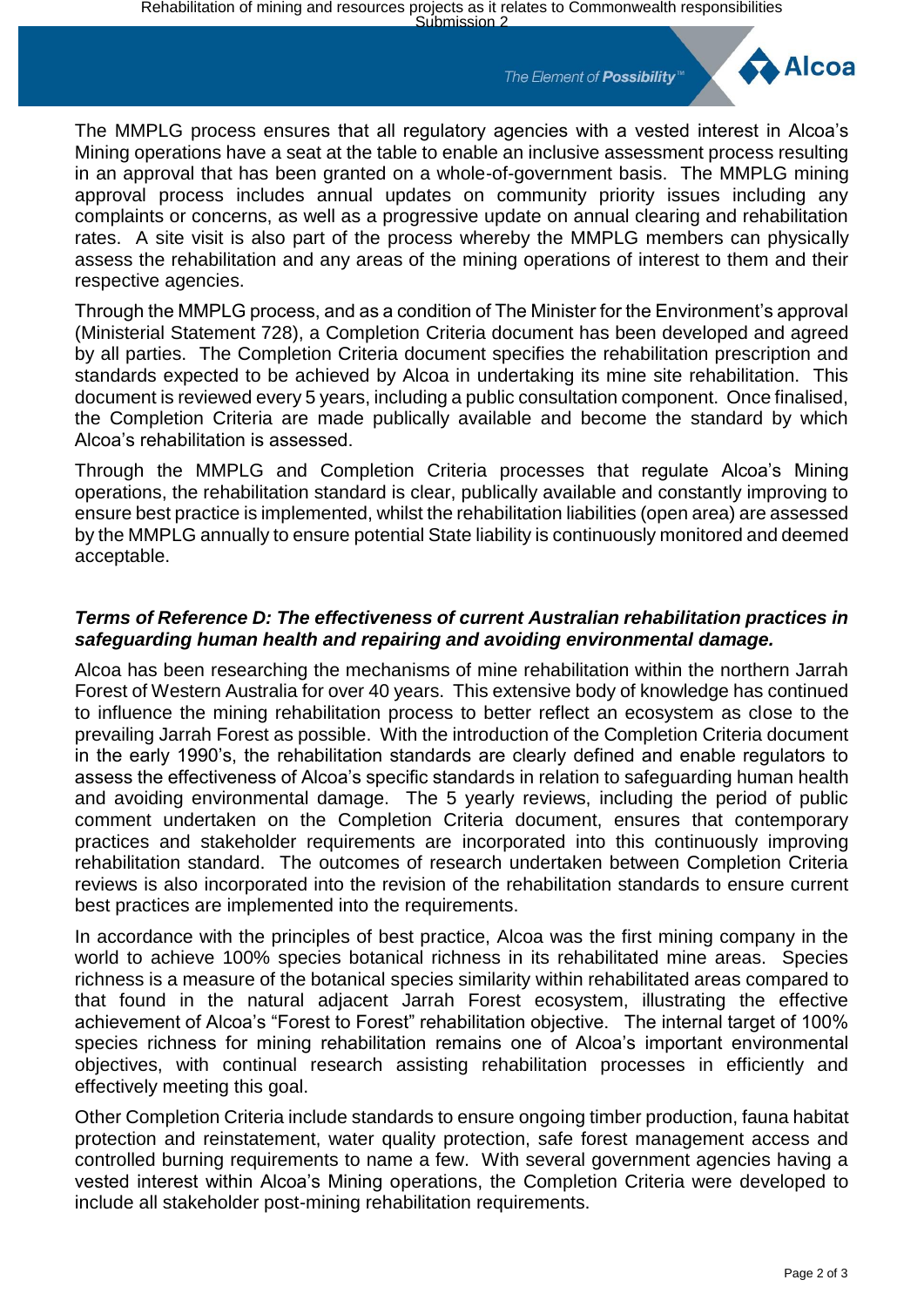The Element of **Possibility**<sup>™</sup>



The MMPLG process ensures that all regulatory agencies with a vested interest in Alcoa's Mining operations have a seat at the table to enable an inclusive assessment process resulting in an approval that has been granted on a whole-of-government basis. The MMPLG mining approval process includes annual updates on community priority issues including any complaints or concerns, as well as a progressive update on annual clearing and rehabilitation rates. A site visit is also part of the process whereby the MMPLG members can physically assess the rehabilitation and any areas of the mining operations of interest to them and their respective agencies.

Through the MMPLG process, and as a condition of The Minister for the Environment's approval (Ministerial Statement 728), a Completion Criteria document has been developed and agreed by all parties. The Completion Criteria document specifies the rehabilitation prescription and standards expected to be achieved by Alcoa in undertaking its mine site rehabilitation. This document is reviewed every 5 years, including a public consultation component. Once finalised, the Completion Criteria are made publically available and become the standard by which Alcoa's rehabilitation is assessed.

Through the MMPLG and Completion Criteria processes that regulate Alcoa's Mining operations, the rehabilitation standard is clear, publically available and constantly improving to ensure best practice is implemented, whilst the rehabilitation liabilities (open area) are assessed by the MMPLG annually to ensure potential State liability is continuously monitored and deemed acceptable.

### *Terms of Reference D: The effectiveness of current Australian rehabilitation practices in safeguarding human health and repairing and avoiding environmental damage.*

Alcoa has been researching the mechanisms of mine rehabilitation within the northern Jarrah Forest of Western Australia for over 40 years. This extensive body of knowledge has continued to influence the mining rehabilitation process to better reflect an ecosystem as close to the prevailing Jarrah Forest as possible. With the introduction of the Completion Criteria document in the early 1990's, the rehabilitation standards are clearly defined and enable regulators to assess the effectiveness of Alcoa's specific standards in relation to safeguarding human health and avoiding environmental damage. The 5 yearly reviews, including the period of public comment undertaken on the Completion Criteria document, ensures that contemporary practices and stakeholder requirements are incorporated into this continuously improving rehabilitation standard. The outcomes of research undertaken between Completion Criteria reviews is also incorporated into the revision of the rehabilitation standards to ensure current best practices are implemented into the requirements.

In accordance with the principles of best practice, Alcoa was the first mining company in the world to achieve 100% species botanical richness in its rehabilitated mine areas. Species richness is a measure of the botanical species similarity within rehabilitated areas compared to that found in the natural adjacent Jarrah Forest ecosystem, illustrating the effective achievement of Alcoa's "Forest to Forest" rehabilitation objective. The internal target of 100% species richness for mining rehabilitation remains one of Alcoa's important environmental objectives, with continual research assisting rehabilitation processes in efficiently and effectively meeting this goal.

Other Completion Criteria include standards to ensure ongoing timber production, fauna habitat protection and reinstatement, water quality protection, safe forest management access and controlled burning requirements to name a few. With several government agencies having a vested interest within Alcoa's Mining operations, the Completion Criteria were developed to include all stakeholder post-mining rehabilitation requirements.